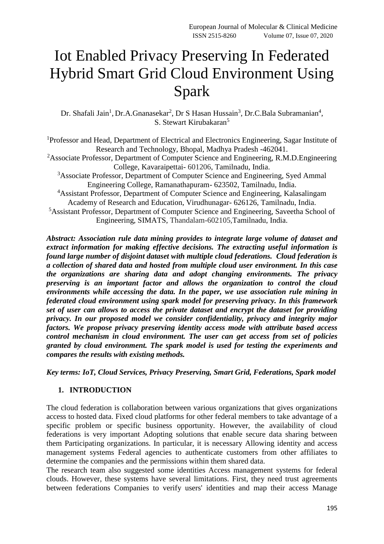# Iot Enabled Privacy Preserving In Federated Hybrid Smart Grid Cloud Environment Using Spark

Dr. Shafali Jain<sup>1</sup>, Dr.A.Gnanasekar<sup>2</sup>, Dr S Hasan Hussain<sup>3</sup>, Dr.C.Bala Subramanian<sup>4</sup>, S. Stewart Kirubakaran<sup>5</sup>

<sup>1</sup>Professor and Head, Department of Electrical and Electronics Engineering, Sagar Institute of Research and Technology, Bhopal, Madhya Pradesh -462041. <sup>2</sup>Associate Professor, Department of Computer Science and Engineering, R.M.D. Engineering College, Kavaraipettai- 601206, Tamilnadu, India.

<sup>3</sup>Associate Professor, Department of Computer Science and Engineering, Syed Ammal Engineering College, Ramanathapuram- 623502, Tamilnadu, India.

<sup>4</sup>Assistant Professor, Department of Computer Science and Engineering, Kalasalingam Academy of Research and Education, Virudhunagar- 626126, Tamilnadu, India.

<sup>5</sup>Assistant Professor, Department of Computer Science and Engineering, Saveetha School of Engineering, SIMATS, Thandalam-602105,Tamilnadu, India.

*Abstract: Association rule data mining provides to integrate large volume of dataset and extract information for making effective decisions. The extracting useful information is found large number of disjoint dataset with multiple cloud federations. Cloud federation is a collection of shared data and hosted from multiple cloud user environment. In this case the organizations are sharing data and adopt changing environments. The privacy preserving is an important factor and allows the organization to control the cloud environments while accessing the data. In the paper, we use association rule mining in federated cloud environment using spark model for preserving privacy. In this framework set of user can allows to access the private dataset and encrypt the dataset for providing privacy. In our proposed model we consider confidentiality, privacy and integrity major factors. We propose privacy preserving identity access mode with attribute based access control mechanism in cloud environment. The user can get access from set of policies granted by cloud environment. The spark model is used for testing the experiments and compares the results with existing methods.*

*Key terms: IoT, Cloud Services, Privacy Preserving, Smart Grid, Federations, Spark model*

# **1. INTRODUCTION**

The cloud federation is collaboration between various organizations that gives organizations access to hosted data. Fixed cloud platforms for other federal members to take advantage of a specific problem or specific business opportunity. However, the availability of cloud federations is very important Adopting solutions that enable secure data sharing between them Participating organizations. In particular, it is necessary Allowing identity and access management systems Federal agencies to authenticate customers from other affiliates to determine the companies and the permissions within them shared data.

The research team also suggested some identities Access management systems for federal clouds. However, these systems have several limitations. First, they need trust agreements between federations Companies to verify users' identities and map their access Manage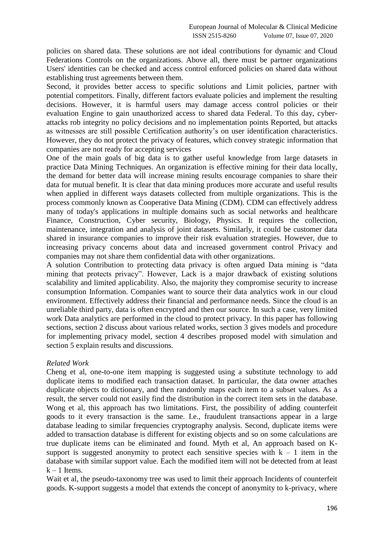policies on shared data. These solutions are not ideal contributions for dynamic and Cloud Federations Controls on the organizations. Above all, there must be partner organizations Users' identities can be checked and access control enforced policies on shared data without establishing trust agreements between them.

Second, it provides better access to specific solutions and Limit policies, partner with potential competitors. Finally, different factors evaluate policies and implement the resulting decisions. However, it is harmful users may damage access control policies or their evaluation Engine to gain unauthorized access to shared data Federal. To this day, cyberattacks rob integrity no policy decisions and no implementation points Reported, but attacks as witnesses are still possible Certification authority's on user identification characteristics. However, they do not protect the privacy of features, which convey strategic information that companies are not ready for accepting services

One of the main goals of big data is to gather useful knowledge from large datasets in practice Data Mining Techniques. An organization is effective mining for their data locally, the demand for better data will increase mining results encourage companies to share their data for mutual benefit. It is clear that data mining produces more accurate and useful results when applied in different ways datasets collected from multiple organizations. This is the process commonly known as Cooperative Data Mining (CDM). CDM can effectively address many of today's applications in multiple domains such as social networks and healthcare Finance, Construction, Cyber security, Biology, Physics. It requires the collection, maintenance, integration and analysis of joint datasets. Similarly, it could be customer data shared in insurance companies to improve their risk evaluation strategies. However, due to increasing privacy concerns about data and increased government control Privacy and companies may not share them confidential data with other organizations.

A solution Contribution to protecting data privacy is often argued Data mining is "data mining that protects privacy". However, Lack is a major drawback of existing solutions scalability and limited applicability. Also, the majority they compromise security to increase consumption Information. Companies want to source their data analytics work in our cloud environment. Effectively address their financial and performance needs. Since the cloud is an unreliable third party, data is often encrypted and then our source. In such a case, very limited work Data analytics are performed in the cloud to protect privacy. In this paper has following sections, section 2 discuss about various related works, section 3 gives models and procedure for implementing privacy model, section 4 describes proposed model with simulation and section 5 explain results and discussions.

#### *Related Work*

Cheng et al, one-to-one item mapping is suggested using a substitute technology to add duplicate items to modified each transaction dataset. In particular, the data owner attaches duplicate objects to dictionary, and then randomly maps each item to a subset values. As a result, the server could not easily find the distribution in the correct item sets in the database. Wong et al, this approach has two limitations. First, the possibility of adding counterfeit goods to it every transaction is the same. I.e., fraudulent transactions appear in a large database leading to similar frequencies cryptography analysis. Second, duplicate items were added to transaction database is different for existing objects and so on some calculations are true duplicate items can be eliminated and found. Myth et al, An approach based on Ksupport is suggested anonymity to protect each sensitive species with  $k - 1$  item in the database with similar support value. Each the modified item will not be detected from at least  $k - 1$  Items.

Wait et al, the pseudo-taxonomy tree was used to limit their approach Incidents of counterfeit goods. K-support suggests a model that extends the concept of anonymity to k-privacy, where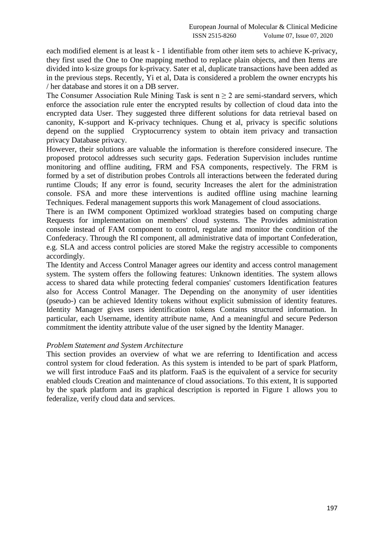each modified element is at least k - 1 identifiable from other item sets to achieve K-privacy, they first used the One to One mapping method to replace plain objects, and then Items are divided into k-size groups for k-privacy. Sater et al, duplicate transactions have been added as in the previous steps. Recently, Yi et al, Data is considered a problem the owner encrypts his / her database and stores it on a DB server.

The Consumer Association Rule Mining Task is sent  $n \geq 2$  are semi-standard servers, which enforce the association rule enter the encrypted results by collection of cloud data into the encrypted data User. They suggested three different solutions for data retrieval based on canonity, K-support and K-privacy techniques. Chung et al, privacy is specific solutions depend on the supplied Cryptocurrency system to obtain item privacy and transaction privacy Database privacy.

However, their solutions are valuable the information is therefore considered insecure. The proposed protocol addresses such security gaps. Federation Supervision includes runtime monitoring and offline auditing, FRM and FSA components, respectively. The FRM is formed by a set of distribution probes Controls all interactions between the federated during runtime Clouds; If any error is found, security Increases the alert for the administration console. FSA and more these interventions is audited offline using machine learning Techniques. Federal management supports this work Management of cloud associations.

There is an IWM component Optimized workload strategies based on computing charge Requests for implementation on members' cloud systems. The Provides administration console instead of FAM component to control, regulate and monitor the condition of the Confederacy. Through the RI component, all administrative data of important Confederation, e.g. SLA and access control policies are stored Make the registry accessible to components accordingly.

The Identity and Access Control Manager agrees our identity and access control management system. The system offers the following features: Unknown identities. The system allows access to shared data while protecting federal companies' customers Identification features also for Access Control Manager. The Depending on the anonymity of user identities (pseudo-) can be achieved Identity tokens without explicit submission of identity features. Identity Manager gives users identification tokens Contains structured information. In particular, each Username, identity attribute name, And a meaningful and secure Pederson commitment the identity attribute value of the user signed by the Identity Manager.

#### *Problem Statement and System Architecture*

This section provides an overview of what we are referring to Identification and access control system for cloud federation. As this system is intended to be part of spark Platform, we will first introduce FaaS and its platform. FaaS is the equivalent of a service for security enabled clouds Creation and maintenance of cloud associations. To this extent, It is supported by the spark platform and its graphical description is reported in Figure 1 allows you to federalize, verify cloud data and services.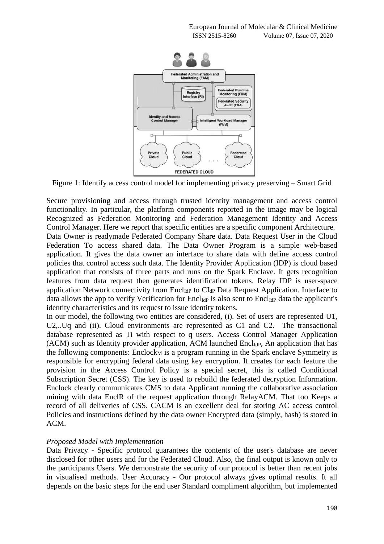

Figure 1: Identify access control model for implementing privacy preserving – Smart Grid

Secure provisioning and access through trusted identity management and access control functionality. In particular, the platform components reported in the image may be logical Recognized as Federation Monitoring and Federation Management Identity and Access Control Manager. Here we report that specific entities are a specific component Architecture. Data Owner is readymade Federated Company Share data. Data Request User in the Cloud Federation To access shared data. The Data Owner Program is a simple web-based application. It gives the data owner an interface to share data with define access control policies that control access such data. The Identity Provider Application (IDP) is cloud based application that consists of three parts and runs on the Spark Enclave. It gets recognition features from data request then generates identification tokens. Relay IDP is user-space application Network connectivity from  $\text{Encl}_{\text{IdP}}$  to  $\text{Cl}_{\text{dP}}$  Data Request Application. Interface to data allows the app to verify Verification for Encl<sub>IdP</sub> is also sent to Encl<sub>IdP</sub> data the applicant's identity characteristics and its request to issue identity tokens.

In our model, the following two entities are considered, (i). Set of users are represented U1, U2,..Uq and (ii). Cloud environments are represented as C1 and C2. The transactional database represented as Ti with respect to q users. Access Control Manager Application  $(ACM)$  such as Identity provider application, ACM launched Encl<sub>IdP</sub>, An application that has the following components:  $Enclock_M$  is a program running in the Spark enclave Symmetry is responsible for encrypting federal data using key encryption. It creates for each feature the provision in the Access Control Policy is a special secret, this is called Conditional Subscription Secret (CSS). The key is used to rebuild the federated decryption Information. Enclock clearly communicates CMS to data Applicant running the collaborative association mining with data EnclR of the request application through RelayACM. That too Keeps a record of all deliveries of CSS. CACM is an excellent deal for storing AC access control Policies and instructions defined by the data owner Encrypted data (simply, hash) is stored in ACM.

#### *Proposed Model with Implementation*

Data Privacy - Specific protocol guarantees the contents of the user's database are never disclosed for other users and for the Federated Cloud. Also, the final output is known only to the participants Users. We demonstrate the security of our protocol is better than recent jobs in visualised methods. User Accuracy - Our protocol always gives optimal results. It all depends on the basic steps for the end user Standard compliment algorithm, but implemented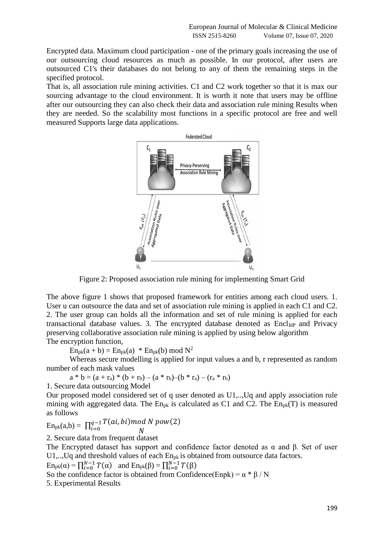Encrypted data. Maximum cloud participation - one of the primary goals increasing the use of our outsourcing cloud resources as much as possible. In our protocol, after users are outsourced C1's their databases do not belong to any of them the remaining steps in the specified protocol.

That is, all association rule mining activities. C1 and C2 work together so that it is max our sourcing advantage to the cloud environment. It is worth it note that users may be offline after our outsourcing they can also check their data and association rule mining Results when they are needed. So the scalability most functions in a specific protocol are free and well measured Supports large data applications.



Figure 2: Proposed association rule mining for implementing Smart Grid

The above figure 1 shows that proposed framework for entities among each cloud users. 1. User u can outsource the data and set of association rule mining is applied in each C1 and C2. 2. The user group can holds all the information and set of rule mining is applied for each transactional database values. 3. The encrypted database denoted as  $Encl<sub>IdP</sub>$  and Privacy preserving collaborative association rule mining is applied by using below algorithm The encryption function,

 $En_{pk}(a + b) = En_{pk}(a) * En_{pk}(b) \text{ mod } N^2$ 

Whereas secure modelling is applied for input values a and b, r represented as random number of each mask values

 $a * b = (a + r_a) * (b + r_b) - (a * r_b) - (b * r_a) - (r_a * r_b)$ 

1. Secure data outsourcing Model

Our proposed model considered set of q user denoted as U1,..,Uq and apply association rule mining with aggregated data. The  $En_{pk}$  is calculated as C1 and C2. The  $En_{pk}(T)$  is measured as follows

$$
En_{pk}(a,b) = \prod_{i=0}^{q-1} \frac{T(ai,bi) mod N pow(2)}{N}
$$

2. Secure data from frequent dataset

The Encrypted dataset has support and confidence factor denoted as  $α$  and  $β$ . Set of user U1,..,Uq and threshold values of each En<sub>pk</sub> is obtained from outsource data factors.

 $\text{En}_{\text{pk}}(\alpha) = \prod_{i=0}^{N-1} T(\alpha)$  and  $\text{En}_{\text{pk}}(\beta) = \prod_{i=0}^{N-1} T(\beta)$ 

So the confidence factor is obtained from Confidence(Enpk) =  $\alpha * \beta / N$ 

5. Experimental Results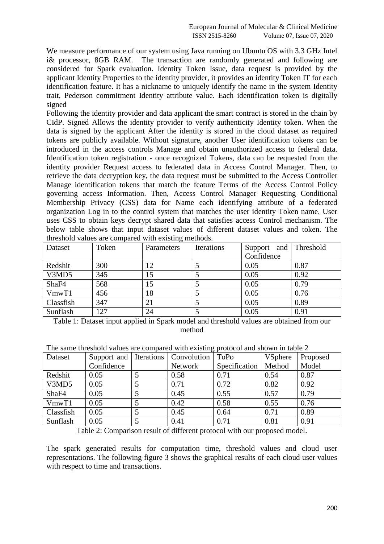We measure performance of our system using Java running on Ubuntu OS with 3.3 GHz Intel i& processor, 8GB RAM. The transaction are randomly generated and following are considered for Spark evaluation. Identity Token Issue, data request is provided by the applicant Identity Properties to the identity provider, it provides an identity Token IT for each identification feature. It has a nickname to uniquely identify the name in the system Identity trait, Pederson commitment Identity attribute value. Each identification token is digitally signed

Following the identity provider and data applicant the smart contract is stored in the chain by CIdP. Signed Allows the identity provider to verify authenticity Identity token. When the data is signed by the applicant After the identity is stored in the cloud dataset as required tokens are publicly available. Without signature, another User identification tokens can be introduced in the access controls Manage and obtain unauthorized access to federal data. Identification token registration - once recognized Tokens, data can be requested from the identity provider Request access to federated data in Access Control Manager. Then, to retrieve the data decryption key, the data request must be submitted to the Access Controller Manage identification tokens that match the feature Terms of the Access Control Policy governing access Information. Then, Access Control Manager Requesting Conditional Membership Privacy (CSS) data for Name each identifying attribute of a federated organization Log in to the control system that matches the user identity Token name. User uses CSS to obtain keys decrypt shared data that satisfies access Control mechanism. The below table shows that input dataset values of different dataset values and token. The threshold values are compared with existing methods.

| Dataset   | Token | Parameters | Iterations | and<br>Support | Threshold |
|-----------|-------|------------|------------|----------------|-----------|
|           |       |            |            | Confidence     |           |
| Redshit   | 300   | 12         |            | 0.05           | 0.87      |
| V3MD5     | 345   | 15         |            | 0.05           | 0.92      |
| ShaF4     | 568   | 15         |            | 0.05           | 0.79      |
| VmwT1     | 456   | 18         |            | 0.05           | 0.76      |
| Classfish | 347   | 21         |            | 0.05           | 0.89      |
| Sunflash  | 127   | 24         |            | 0.05           | 0.91      |

Table 1: Dataset input applied in Spark model and threshold values are obtained from our method

| Dataset   | Support and | Iterations | Convolution | <b>ToPo</b>   | <b>VSphere</b> | Proposed |
|-----------|-------------|------------|-------------|---------------|----------------|----------|
|           | Confidence  |            | Network     | Specification | Method         | Model    |
| Redshit   | 0.05        |            | 0.58        | 0.71          | 0.54           | 0.87     |
| V3MD5     | 0.05        |            | 0.71        | 0.72          | 0.82           | 0.92     |
| ShaF4     | 0.05        |            | 0.45        | 0.55          | 0.57           | 0.79     |
| VmwT1     | 0.05        |            | 0.42        | 0.58          | 0.55           | 0.76     |
| Classfish | 0.05        |            | 0.45        | 0.64          | 0.71           | 0.89     |
| Sunflash  | 0.05        |            | 0.41        | 0.71          | 0.81           | 0.91     |

The same threshold values are compared with existing protocol and shown in table 2

Table 2: Comparison result of different protocol with our proposed model.

The spark generated results for computation time, threshold values and cloud user representations. The following figure 3 shows the graphical results of each cloud user values with respect to time and transactions.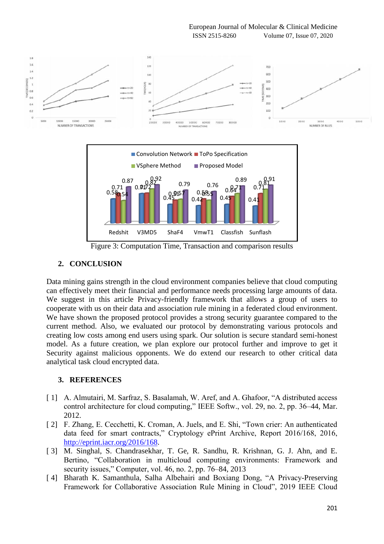European Journal of Molecular & Clinical Medicine ISSN 2515-8260 Volume 07, Issue 07, 2020



## **2. CONCLUSION**

Data mining gains strength in the cloud environment companies believe that cloud computing can effectively meet their financial and performance needs processing large amounts of data. We suggest in this article Privacy-friendly framework that allows a group of users to cooperate with us on their data and association rule mining in a federated cloud environment. We have shown the proposed protocol provides a strong security guarantee compared to the current method. Also, we evaluated our protocol by demonstrating various protocols and creating low costs among end users using spark. Our solution is secure standard semi-honest model. As a future creation, we plan explore our protocol further and improve to get it Security against malicious opponents. We do extend our research to other critical data analytical task cloud encrypted data.

## **3. REFERENCES**

- [1] A. Almutairi, M. Sarfraz, S. Basalamah, W. Aref, and A. Ghafoor, "A distributed access" control architecture for cloud computing," IEEE Softw., vol. 29, no. 2, pp. 36–44, Mar. 2012.
- [ 2] F. Zhang, E. Cecchetti, K. Croman, A. Juels, and E. Shi, "Town crier: An authenticated data feed for smart contracts," Cryptology ePrint Archive, Report 2016/168, 2016, [http://eprint.iacr.org/2016/168.](http://eprint.iacr.org/2016/168)
- [ 3] M. Singhal, S. Chandrasekhar, T. Ge, R. Sandhu, R. Krishnan, G. J. Ahn, and E. Bertino, "Collaboration in multicloud computing environments: Framework and security issues," Computer, vol. 46, no. 2, pp. 76–84, 2013
- [ 4] Bharath K. Samanthula, Salha Albehairi and Boxiang Dong, "A Privacy-Preserving Framework for Collaborative Association Rule Mining in Cloud", 2019 IEEE Cloud